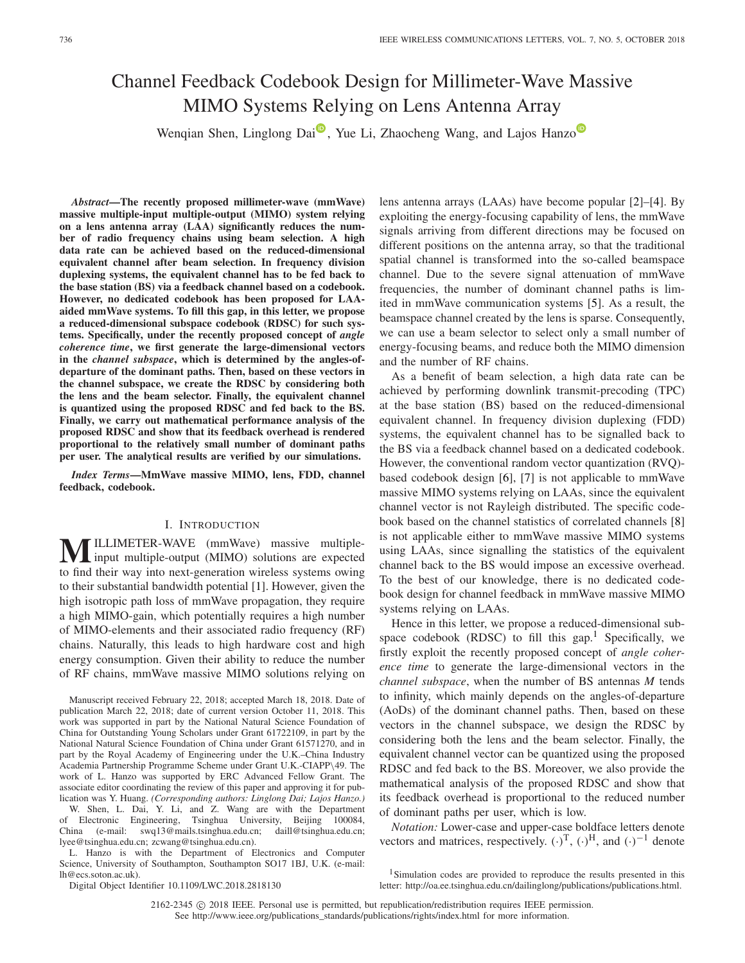# Channel Feedback Codebook Design for Millimeter-Wave Massive MIMO Systems Relying on Lens Antenna Array

Wenqian Shen[,](https://orcid.org/0000-0002-4250-7315) Lingl[o](https://orcid.org/0000-0002-2636-5214)ng Dai<sup> $\mathbf{D}$ </sup>, Yue Li, Zhaocheng Wang, and Lajos Hanzo

*Abstract***—The recently proposed millimeter-wave (mmWave) massive multiple-input multiple-output (MIMO) system relying on a lens antenna array (LAA) significantly reduces the number of radio frequency chains using beam selection. A high data rate can be achieved based on the reduced-dimensional equivalent channel after beam selection. In frequency division duplexing systems, the equivalent channel has to be fed back to the base station (BS) via a feedback channel based on a codebook. However, no dedicated codebook has been proposed for LAAaided mmWave systems. To fill this gap, in this letter, we propose a reduced-dimensional subspace codebook (RDSC) for such systems. Specifically, under the recently proposed concept of** *angle coherence time***, we first generate the large-dimensional vectors in the** *channel subspace***, which is determined by the angles-ofdeparture of the dominant paths. Then, based on these vectors in the channel subspace, we create the RDSC by considering both the lens and the beam selector. Finally, the equivalent channel is quantized using the proposed RDSC and fed back to the BS. Finally, we carry out mathematical performance analysis of the proposed RDSC and show that its feedback overhead is rendered proportional to the relatively small number of dominant paths per user. The analytical results are verified by our simulations.**

*Index Terms***—MmWave massive MIMO, lens, FDD, channel feedback, codebook.**

## I. INTRODUCTION

**MILLIMETER-WAVE** (mmWave) massive multiple-<br>input multiple-output (MIMO) solutions are expected to find their way into next-generation wireless systems owing to their substantial bandwidth potential [\[1\]](#page-3-0). However, given the high isotropic path loss of mmWave propagation, they require a high MIMO-gain, which potentially requires a high number of MIMO-elements and their associated radio frequency (RF) chains. Naturally, this leads to high hardware cost and high energy consumption. Given their ability to reduce the number of RF chains, mmWave massive MIMO solutions relying on

Manuscript received February 22, 2018; accepted March 18, 2018. Date of publication March 22, 2018; date of current version October 11, 2018. This work was supported in part by the National Natural Science Foundation of China for Outstanding Young Scholars under Grant 61722109, in part by the National Natural Science Foundation of China under Grant 61571270, and in part by the Royal Academy of Engineering under the U.K.–China Industry Academia Partnership Programme Scheme under Grant U.K.-CIAPP\49. The work of L. Hanzo was supported by ERC Advanced Fellow Grant. The associate editor coordinating the review of this paper and approving it for publication was Y. Huang. *(Corresponding authors: Linglong Dai; Lajos Hanzo.)*

W. Shen, L. Dai, Y. Li, and Z. Wang are with the Department of Electronic Engineering, Tsinghua University, Beijing 100084, China (e-mail: swq13@mails.tsinghua.edu.cn; daill@tsinghua.edu.cn; lyee@tsinghua.edu.cn; zcwang@tsinghua.edu.cn).

L. Hanzo is with the Department of Electronics and Computer Science, University of Southampton, Southampton SO17 1BJ, U.K. (e-mail: lh@ecs.soton.ac.uk).

lens antenna arrays (LAAs) have become popular [\[2\]](#page-3-1)–[\[4\]](#page-3-2). By exploiting the energy-focusing capability of lens, the mmWave signals arriving from different directions may be focused on different positions on the antenna array, so that the traditional spatial channel is transformed into the so-called beamspace channel. Due to the severe signal attenuation of mmWave frequencies, the number of dominant channel paths is limited in mmWave communication systems [\[5\]](#page-3-3). As a result, the beamspace channel created by the lens is sparse. Consequently, we can use a beam selector to select only a small number of energy-focusing beams, and reduce both the MIMO dimension and the number of RF chains.

As a benefit of beam selection, a high data rate can be achieved by performing downlink transmit-precoding (TPC) at the base station (BS) based on the reduced-dimensional equivalent channel. In frequency division duplexing (FDD) systems, the equivalent channel has to be signalled back to the BS via a feedback channel based on a dedicated codebook. However, the conventional random vector quantization (RVQ) based codebook design [\[6\]](#page-3-4), [\[7\]](#page-3-5) is not applicable to mmWave massive MIMO systems relying on LAAs, since the equivalent channel vector is not Rayleigh distributed. The specific codebook based on the channel statistics of correlated channels [\[8\]](#page-3-6) is not applicable either to mmWave massive MIMO systems using LAAs, since signalling the statistics of the equivalent channel back to the BS would impose an excessive overhead. To the best of our knowledge, there is no dedicated codebook design for channel feedback in mmWave massive MIMO systems relying on LAAs.

Hence in this letter, we propose a reduced-dimensional subspace codebook (RDSC) to fill this gap.<sup>1</sup> Specifically, we firstly exploit the recently proposed concept of *angle coherence time* to generate the large-dimensional vectors in the *channel subspace*, when the number of BS antennas *M* tends to infinity, which mainly depends on the angles-of-departure (AoDs) of the dominant channel paths. Then, based on these vectors in the channel subspace, we design the RDSC by considering both the lens and the beam selector. Finally, the equivalent channel vector can be quantized using the proposed RDSC and fed back to the BS. Moreover, we also provide the mathematical analysis of the proposed RDSC and show that its feedback overhead is proportional to the reduced number of dominant paths per user, which is low.

*Notation:* Lower-case and upper-case boldface letters denote vectors and matrices, respectively.  $(\cdot)^T$ ,  $(\cdot)^H$ , and  $(\cdot)^{-1}$  denote

Digital Object Identifier 10.1109/LWC.2018.2818130

2162-2345  $\copyright$  2018 IEEE. Personal use is permitted, but republication/redistribution requires IEEE permission. See http://www.ieee.org/publications\_standards/publications/rights/index.html for more information.

<span id="page-0-0"></span><sup>&</sup>lt;sup>1</sup>Simulation codes are provided to reproduce the results presented in this letter: http://oa.ee.tsinghua.edu.cn/dailinglong/publications/publications.html.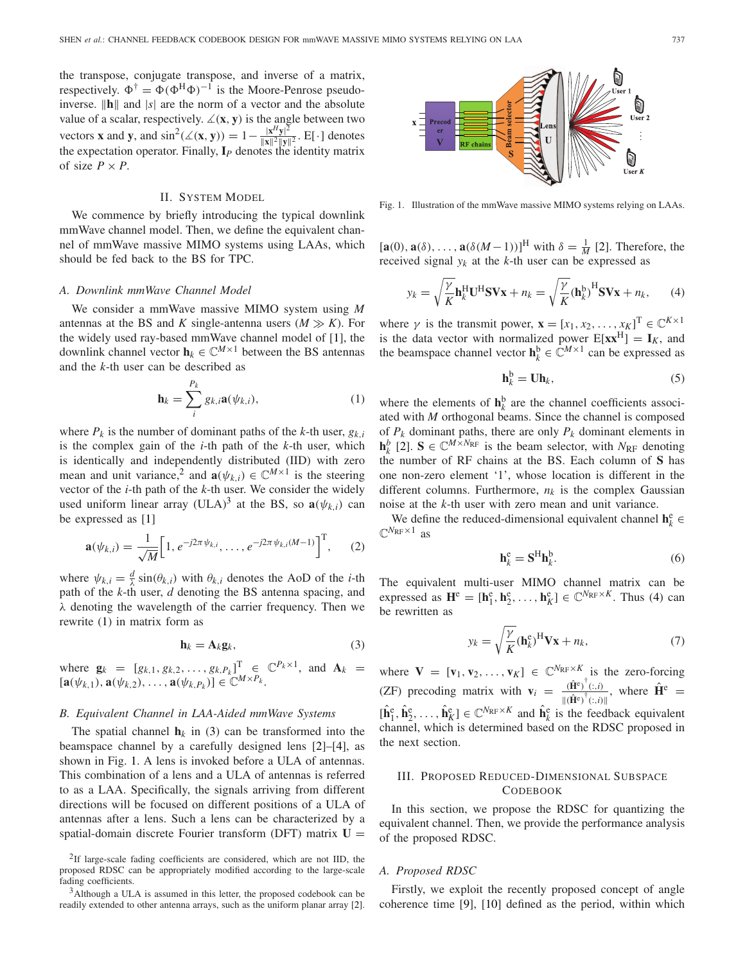the transpose, conjugate transpose, and inverse of a matrix, respectively.  $\Phi^{\dagger} = \Phi(\Phi^H \Phi)^{-1}$  is the Moore-Penrose pseudoinverse.  $\|\mathbf{h}\|$  and  $|s|$  are the norm of a vector and the absolute value of a scalar, respectively.  $\angle(x, y)$  is the angle between two vectors **x** and **y**, and  $\sin^2(\angle(x, y)) = 1 - \frac{|x^H y|^2}{\|x\|^2 \|y\|^2}$ . E[·] denotes the expectation operator. Finally, **I***<sup>P</sup>* denotes the identity matrix of size  $P \times P$ .

#### II. SYSTEM MODEL

We commence by briefly introducing the typical downlink mmWave channel model. Then, we define the equivalent channel of mmWave massive MIMO systems using LAAs, which should be fed back to the BS for TPC.

#### *A. Downlink mmWave Channel Model*

We consider a mmWave massive MIMO system using *M* antennas at the BS and *K* single-antenna users  $(M \gg K)$ . For the widely used ray-based mmWave channel model of [\[1\]](#page-3-0), the downlink channel vector  $\mathbf{h}_k \in \mathbb{C}^{M \times 1}$  between the BS antennas and the *k*-th user can be described as

<span id="page-1-2"></span>
$$
\mathbf{h}_{k} = \sum_{i}^{P_{k}} g_{k,i} \mathbf{a}(\psi_{k,i}), \qquad (1)
$$

where  $P_k$  is the number of dominant paths of the *k*-th user,  $g_{k,i}$ is the complex gain of the *i*-th path of the *k*-th user, which is identically and independently distributed (IID) with zero mean and unit variance,<sup>[2](#page-1-0)</sup> and  $\mathbf{a}(\psi_{k,i}) \in \mathbb{C}^{M \times 1}$  is the steering vector of the *i*-th path of the *k*-th user. We consider the widely used uniform linear array (ULA)<sup>3</sup> at the BS, so  $\mathbf{a}(\psi_k)$  can be expressed as [\[1\]](#page-3-0)

$$
\mathbf{a}(\psi_{k,i}) = \frac{1}{\sqrt{M}} \Big[ 1, e^{-j2\pi \psi_{k,i}}, \dots, e^{-j2\pi \psi_{k,i}(M-1)} \Big]^{\mathrm{T}}, \qquad (2)
$$

where  $\psi_{k,i} = \frac{d}{\lambda} \sin(\theta_{k,i})$  with  $\theta_{k,i}$  denotes the AoD of the *i*-th path of the *k*-th user, *d* denoting the BS antenna spacing, and  $\lambda$  denoting the wavelength of the carrier frequency. Then we rewrite [\(1\)](#page-1-2) in matrix form as

<span id="page-1-3"></span>
$$
\mathbf{h}_k = \mathbf{A}_k \mathbf{g}_k,\tag{3}
$$

where  $\mathbf{g}_k = [g_{k,1}, g_{k,2}, \dots, g_{k,P_k}]^T \in \mathbb{C}^{P_k \times 1}$ , and  $\mathbf{A}_k =$  $[\mathbf{a}(\psi_{k,1}), \mathbf{a}(\psi_{k,2}), \ldots, \mathbf{a}(\psi_{k,P_k})] \in \mathbb{C}^{M \times P_k}$ .

## *B. Equivalent Channel in LAA-Aided mmWave Systems*

The spatial channel  $h_k$  in [\(3\)](#page-1-3) can be transformed into the beamspace channel by a carefully designed lens [\[2\]](#page-3-1)–[\[4\]](#page-3-2), as shown in Fig. [1.](#page-1-4) A lens is invoked before a ULA of antennas. This combination of a lens and a ULA of antennas is referred to as a LAA. Specifically, the signals arriving from different directions will be focused on different positions of a ULA of antennas after a lens. Such a lens can be characterized by a spatial-domain discrete Fourier transform (DFT) matrix **U** =

<span id="page-1-4"></span>Fig. 1. Illustration of the mmWave massive MIMO systems relying on LAAs.

 $[\mathbf{a}(0), \mathbf{a}(\delta), \dots, \mathbf{a}(\delta(M-1))]^{\text{H}}$  with  $\delta = \frac{1}{M}$  [\[2\]](#page-3-1). Therefore, the received signal  $y_k$  at the  $k$ -th user can be expressed as

<span id="page-1-5"></span>
$$
y_k = \sqrt{\frac{\gamma}{K}} \mathbf{h}_k^{\mathrm{H}} \mathbf{U}^{\mathrm{H}} \mathbf{S} \mathbf{V} \mathbf{x} + n_k = \sqrt{\frac{\gamma}{K}} (\mathbf{h}_k^{\mathrm{b}})^{\mathrm{H}} \mathbf{S} \mathbf{V} \mathbf{x} + n_k, \qquad (4)
$$

where  $\gamma$  is the transmit power,  $\mathbf{x} = [x_1, x_2, \dots, x_K]^T \in \mathbb{C}^{K \times 1}$ is the data vector with normalized power  $E[\mathbf{x} \mathbf{x}^H] = \mathbf{I}_K$ , and the beamspace channel vector  $\mathbf{h}_k^b \in \mathbb{C}^{M \times 1}$  can be expressed as

<span id="page-1-7"></span>
$$
\mathbf{h}_k^{\mathrm{b}} = \mathbf{U} \mathbf{h}_k,\tag{5}
$$

where the elements of  $\mathbf{h}_k^b$  are the channel coefficients associated with *M* orthogonal beams. Since the channel is composed of  $P_k$  dominant paths, there are only  $P_k$  dominant elements in  $\mathbf{h}_k^b$  [\[2\]](#page-3-1).  $\mathbf{S} \in \mathbb{C}^{M \times N_{\text{RF}}}$  is the beam selector, with  $N_{\text{RF}}$  denoting the number of RF chains at the BS. Each column of **S** has one non-zero element '1', whose location is different in the different columns. Furthermore,  $n_k$  is the complex Gaussian noise at the *k*-th user with zero mean and unit variance.

We define the reduced-dimensional equivalent channel  $\mathbf{h}_k^e \in \mathbb{R}^d$  $\mathbb{C}^{N_{\text{RF}}\times 1}$  as

<span id="page-1-8"></span>
$$
\mathbf{h}_k^{\text{e}} = \mathbf{S}^{\text{H}} \mathbf{h}_k^{\text{b}}.\tag{6}
$$

The equivalent multi-user MIMO channel matrix can be expressed as  $\mathbf{H}^e = [\mathbf{h}_1^e, \mathbf{h}_2^e, \dots, \mathbf{h}_K^e] \in \mathbb{C}^{N_{RF} \times K}$ . Thus [\(4\)](#page-1-5) can be rewritten as

<span id="page-1-6"></span>
$$
y_k = \sqrt{\frac{\gamma}{K}} (\mathbf{h}_k^e)^H \mathbf{V} \mathbf{x} + n_k,\tag{7}
$$

where  $V = [v_1, v_2, ..., v_K] \in \mathbb{C}^{N_{RF} \times K}$  is the zero-forcing (ZF) precoding matrix with  $\mathbf{v}_i = \frac{(\hat{\mathbf{H}}^e)^{\dagger}(:,i)}{\|\hat{\mathbf{H}}^e\|^{\dagger} + \|\hat{\mathbf{H}}^e\|^{\dagger} + \|\hat{\mathbf{H}}^e\|^{\dagger} + \|\hat{\mathbf{H}}^e\|^{\dagger} + \|\hat{\mathbf{H}}^e\|^{\dagger} + \|\hat{\mathbf{H}}^e\|^{\dagger} + \|\hat{\mathbf{H}}^e\|^{\dagger} + \|\hat{\mathbf{H}}^e\|^{\dagger} + \|\hat{\mathbf{H}}^e\|^{\dagger} + \|\$  $\frac{(\mathbf{H}^{\mathbf{e}})^{\dagger}(:,i)}{\|(\mathbf{H}^{\mathbf{e}})^{\dagger}(:,i)\|}$ , where  $\hat{\mathbf{H}}^{\mathbf{e}} =$  $[\hat{\mathbf{h}}_1^{\text{e}}, \hat{\mathbf{h}}_2^{\text{e}}, \dots, \hat{\mathbf{h}}_K^{\text{e}}] \in \mathbb{C}^{N_{\text{RF}} \times K}$  and  $\hat{\mathbf{h}}_k^{\text{e}}$  is the feedback equivalent channel, which is determined based on the RDSC proposed in the next section.

## III. PROPOSED REDUCED-DIMENSIONAL SUBSPACE CODEBOOK

In this section, we propose the RDSC for quantizing the equivalent channel. Then, we provide the performance analysis of the proposed RDSC.

## *A. Proposed RDSC*

Firstly, we exploit the recently proposed concept of angle coherence time [\[9\]](#page-3-7), [\[10\]](#page-3-8) defined as the period, within which



<span id="page-1-0"></span><sup>2</sup>If large-scale fading coefficients are considered, which are not IID, the proposed RDSC can be appropriately modified according to the large-scale fading coefficients.

<span id="page-1-1"></span> $3A$ lthough a ULA is assumed in this letter, the proposed codebook can be readily extended to other antenna arrays, such as the uniform planar array [\[2\]](#page-3-1).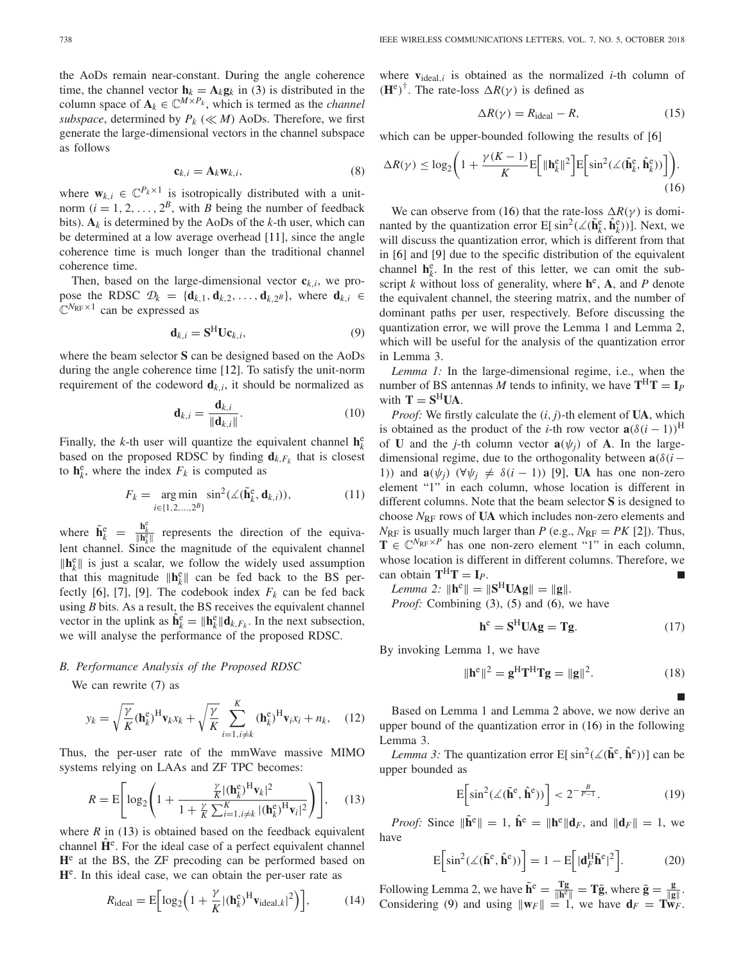the AoDs remain near-constant. During the angle coherence time, the channel vector  $\mathbf{h}_k = \mathbf{A}_k \mathbf{g}_k$  in [\(3\)](#page-1-3) is distributed in the column space of  $\mathbf{A}_k \in \mathbb{C}^{M \times P_k}$ , which is termed as the *channel subspace*, determined by  $P_k$  ( $\ll M$ ) AoDs. Therefore, we first generate the large-dimensional vectors in the channel subspace as follows

$$
\mathbf{c}_{k,i} = \mathbf{A}_k \mathbf{w}_{k,i},\tag{8}
$$

where  $\mathbf{w}_{k,i} \in \mathbb{C}^{P_k \times 1}$  is isotropically distributed with a unitnorm  $(i = 1, 2, ..., 2^B$ , with *B* being the number of feedback bits).  $A_k$  is determined by the AoDs of the *k*-th user, which can be determined at a low average overhead [\[11\]](#page-3-9), since the angle coherence time is much longer than the traditional channel coherence time.

Then, based on the large-dimensional vector  $\mathbf{c}_{k,i}$ , we propose the RDSC  $\mathcal{D}_k = {\mathbf{d}_{k,1}, \mathbf{d}_{k,2}, \ldots, \mathbf{d}_{k,2^B}}$ , where  $\mathbf{d}_{k,i} \in$  $\mathbb{C}^{N_{\text{RF}}\times 1}$  can be expressed as

<span id="page-2-2"></span>
$$
\mathbf{d}_{k,i} = \mathbf{S}^{\mathrm{H}} \mathbf{U} \mathbf{c}_{k,i},\tag{9}
$$

where the beam selector **S** can be designed based on the AoDs during the angle coherence time [\[12\]](#page-3-10). To satisfy the unit-norm requirement of the codeword  $\mathbf{d}_{k,i}$ , it should be normalized as

$$
\mathbf{d}_{k,i} = \frac{\mathbf{d}_{k,i}}{\|\mathbf{d}_{k,i}\|}.
$$
 (10)

Finally, the *k*-th user will quantize the equivalent channel  $\mathbf{h}_k^e$ based on the proposed RDSC by finding  $\mathbf{d}_{k,F_k}$  that is closest to  $\mathbf{h}_k^e$ , where the index  $F_k$  is computed as

$$
F_k = \underset{i \in \{1, 2, \dots, 2^B\}}{\arg \min} \sin^2(\angle(\tilde{\mathbf{h}}_k^e, \mathbf{d}_{k,i})),\tag{11}
$$

where  $\tilde{\mathbf{h}}_k^e = \frac{\mathbf{h}_k^e}{\|\mathbf{h}_k^e\|}$  represents the direction of the equivalent channel. Since the magnitude of the equivalent channel  $\|\mathbf{h}_k^e\|$  is just a scalar, we follow the widely used assumption that this magnitude  $\|\mathbf{h}_k^e\|$  can be fed back to the BS per-fectly [\[6\]](#page-3-4), [\[7\]](#page-3-5), [\[9\]](#page-3-7). The codebook index  $F_k$  can be fed back using *B* bits. As a result, the BS receives the equivalent channel vector in the uplink as  $\hat{\mathbf{h}}_k^e = \|\mathbf{h}_k^e\| \mathbf{d}_{k,F_k}$ . In the next subsection, we will analyse the performance of the proposed RDSC.

#### <span id="page-2-5"></span>*B. Performance Analysis of the Proposed RDSC*

We can rewrite [\(7\)](#page-1-6) as

$$
y_k = \sqrt{\frac{\gamma}{K}} (\mathbf{h}_k^{\text{e}})^{\text{H}} \mathbf{v}_k x_k + \sqrt{\frac{\gamma}{K}} \sum_{i=1, i \neq k}^{K} (\mathbf{h}_k^{\text{e}})^{\text{H}} \mathbf{v}_i x_i + n_k, \quad (12)
$$

Thus, the per-user rate of the mmWave massive MIMO systems relying on LAAs and ZF TPC becomes:

<span id="page-2-0"></span>
$$
R = \mathbf{E} \Bigg[ \log_2 \Bigg( 1 + \frac{\frac{\gamma}{K} |(\mathbf{h}_k^e)^H \mathbf{v}_k|^2}{1 + \frac{\gamma}{K} \sum_{i=1, i \neq k}^K |(\mathbf{h}_k^e)^H \mathbf{v}_i|^2} \Bigg) \Bigg], \quad (13)
$$

where  $R$  in [\(13\)](#page-2-0) is obtained based on the feedback equivalent channel  $\mathbf{H}^e$ . For the ideal case of a perfect equivalent channel **H**<sup>e</sup> at the BS, the ZF precoding can be performed based on **H**e. In this ideal case, we can obtain the per-user rate as

$$
R_{\text{ideal}} = \mathbf{E} \Big[ \log_2 \Big( 1 + \frac{\gamma}{K} |(\mathbf{h}_k^{\text{e}})^{\text{H}} \mathbf{v}_{\text{ideal},k} |^2 \Big) \Big],\tag{14}
$$

where  $v_{ideal,i}$  is obtained as the normalized *i*-th column of  $(\mathbf{H}^e)^\dagger$ . The rate-loss  $\Delta R(\gamma)$  is defined as

$$
\Delta R(\gamma) = R_{\text{ideal}} - R,\tag{15}
$$

which can be upper-bounded following the results of [\[6\]](#page-3-4)

<span id="page-2-1"></span>
$$
\Delta R(\gamma) \le \log_2 \left( 1 + \frac{\gamma (K-1)}{K} \mathbb{E} \left[ \|\mathbf{h}_k^{\rm e}\|^2 \right] \mathbb{E} \left[ \sin^2(\measuredangle(\tilde{\mathbf{h}}_k^{\rm e}, \hat{\mathbf{h}}_k^{\rm e})) \right] \right). \tag{16}
$$

We can observe from [\(16\)](#page-2-1) that the rate-loss  $\Delta R(\gamma)$  is dominanted by the quantization error  $E[ sin^2(\angle(\tilde{\mathbf{h}}_k^e, \hat{\mathbf{h}}_k^e))]$ . Next, we will discuss the quantization error, which is different from that in [\[6\]](#page-3-4) and [\[9\]](#page-3-7) due to the specific distribution of the equivalent channel  $h_k^e$ . In the rest of this letter, we can omit the subscript *k* without loss of generality, where  $h^e$ , **A**, and *P* denote the equivalent channel, the steering matrix, and the number of dominant paths per user, respectively. Before discussing the quantization error, we will prove the Lemma 1 and Lemma 2, which will be useful for the analysis of the quantization error in Lemma 3.

*Lemma 1:* In the large-dimensional regime, i.e., when the number of BS antennas *M* tends to infinity, we have  $T^{H}T = I_{P}$ with  $T = S^H U A$ .

*Proof:* We firstly calculate the (*i*, *j*)-th element of **UA**, which is obtained as the product of the *i*-th row vector  $\mathbf{a}(\delta(i-1))^H$ of **U** and the *j*-th column vector  $\mathbf{a}(\psi_i)$  of **A**. In the largedimensional regime, due to the orthogonality between  $\mathbf{a}(\delta(i-\delta))$ 1)) and  $\mathbf{a}(\psi_i)$  ( $\forall \psi_i \neq \delta(i-1)$ ) [\[9\]](#page-3-7), **UA** has one non-zero element "1" in each column, whose location is different in different columns. Note that the beam selector **S** is designed to choose  $N_{\text{RF}}$  rows of UA which includes non-zero elements and  $N_{\text{RF}}$  is usually much larger than *P* (e.g.,  $N_{\text{RF}} = PK$  [\[2\]](#page-3-1)). Thus,  $\mathbf{T} \in \mathbb{C}^{N_{\text{RF}} \times P}$  has one non-zero element "1" in each column, whose location is different in different columns. Therefore, we can obtain  $T^H T = I_P$ .

*Lemma* 2:  $\|\mathbf{h}^e\| = \|\mathbf{S}^H \mathbf{U} \mathbf{A} \mathbf{g}\| = \|\mathbf{g}\|.$ 

*Proof:* Combining [\(3\)](#page-1-3), [\(5\)](#page-1-7) and [\(6\)](#page-1-8), we have

$$
\mathbf{h}^{\text{e}} = \mathbf{S}^{\text{H}} \mathbf{U} \mathbf{A} \mathbf{g} = \mathbf{T} \mathbf{g}.
$$
 (17)

By invoking Lemma 1, we have

$$
\|\mathbf{h}^{\text{e}}\|^2 = \mathbf{g}^{\text{H}} \mathbf{T}^{\text{H}} \mathbf{T} \mathbf{g} = \|\mathbf{g}\|^2. \tag{18}
$$

Based on Lemma 1 and Lemma 2 above, we now derive an upper bound of the quantization error in [\(16\)](#page-2-1) in the following Lemma 3.

*Lemma 3:* The quantization error  $E[ sin^2(\angle(\tilde{h}^e, \hat{h}^e))]$  can be upper bounded as

<span id="page-2-4"></span>
$$
E\left[\sin^2(\measuredangle(\tilde{\mathbf{h}}^e, \hat{\mathbf{h}}^e))\right] < 2^{-\frac{B}{P-1}}.\tag{19}
$$

*Proof:* Since  $\|\tilde{\mathbf{h}}^e\| = 1$ ,  $\hat{\mathbf{h}}^e = \|\mathbf{h}^e\| \mathbf{d}_F$ , and  $\|\mathbf{d}_F\| = 1$ , we have

<span id="page-2-3"></span>
$$
E\left[\sin^2(\measuredangle(\tilde{\mathbf{h}}^e, \hat{\mathbf{h}}^e))\right] = 1 - E\left[|\mathbf{d}_F^H \tilde{\mathbf{h}}^e|^2\right].\tag{20}
$$

Following Lemma 2, we have  $\tilde{\mathbf{h}}^e = \frac{\mathbf{T}\mathbf{g}}{\|\mathbf{h}^e\|} = \mathbf{T}\tilde{\mathbf{g}}$ , where  $\tilde{\mathbf{g}} = \frac{\mathbf{g}}{\|\mathbf{g}\|}$ . Considering [\(9\)](#page-2-2) and using  $\|\mathbf{w}_F\| = 1$ , we have  $\mathbf{d}_F = \mathbf{T}\mathbf{w}_F$ .